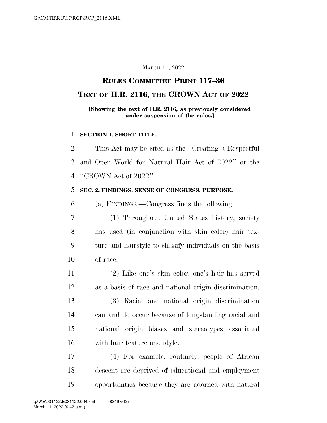#### MARCH 11, 2022

# **RULES COMMITTEE PRINT 117–36**

# **TEXT OF H.R. 2116, THE CROWN ACT OF 2022**

#### **[Showing the text of H.R. 2116, as previously considered under suspension of the rules.]**

#### **SECTION 1. SHORT TITLE.**

 This Act may be cited as the ''Creating a Respectful and Open World for Natural Hair Act of 2022'' or the ''CROWN Act of 2022''.

## **SEC. 2. FINDINGS; SENSE OF CONGRESS; PURPOSE.**

(a) FINDINGS.—Congress finds the following:

- (1) Throughout United States history, society has used (in conjunction with skin color) hair tex- ture and hairstyle to classify individuals on the basis of race.
- (2) Like one's skin color, one's hair has served as a basis of race and national origin discrimination.

 (3) Racial and national origin discrimination can and do occur because of longstanding racial and national origin biases and stereotypes associated with hair texture and style.

 (4) For example, routinely, people of African descent are deprived of educational and employment opportunities because they are adorned with natural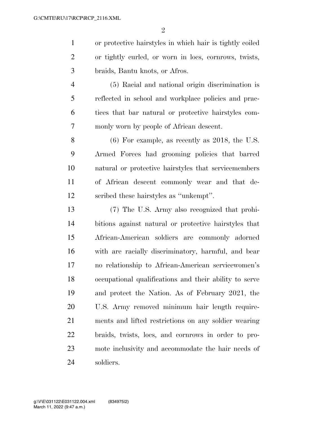or protective hairstyles in which hair is tightly coiled or tightly curled, or worn in locs, cornrows, twists, braids, Bantu knots, or Afros.

 (5) Racial and national origin discrimination is reflected in school and workplace policies and prac- tices that bar natural or protective hairstyles com-monly worn by people of African descent.

 (6) For example, as recently as 2018, the U.S. Armed Forces had grooming policies that barred natural or protective hairstyles that servicemembers of African descent commonly wear and that de-scribed these hairstyles as ''unkempt''.

 (7) The U.S. Army also recognized that prohi- bitions against natural or protective hairstyles that African-American soldiers are commonly adorned with are racially discriminatory, harmful, and bear no relationship to African-American servicewomen's occupational qualifications and their ability to serve and protect the Nation. As of February 2021, the U.S. Army removed minimum hair length require- ments and lifted restrictions on any soldier wearing braids, twists, locs, and cornrows in order to pro- mote inclusivity and accommodate the hair needs of soldiers.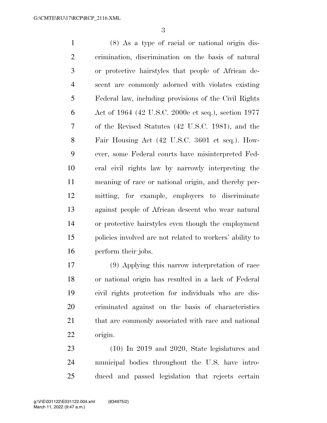(8) As a type of racial or national origin dis- crimination, discrimination on the basis of natural or protective hairstyles that people of African de- scent are commonly adorned with violates existing Federal law, including provisions of the Civil Rights Act of 1964 (42 U.S.C. 2000e et seq.), section 1977 of the Revised Statutes (42 U.S.C. 1981), and the Fair Housing Act (42 U.S.C. 3601 et seq.). How- ever, some Federal courts have misinterpreted Fed- eral civil rights law by narrowly interpreting the meaning of race or national origin, and thereby per- mitting, for example, employers to discriminate against people of African descent who wear natural or protective hairstyles even though the employment policies involved are not related to workers' ability to perform their jobs.

 (9) Applying this narrow interpretation of race or national origin has resulted in a lack of Federal civil rights protection for individuals who are dis- criminated against on the basis of characteristics 21 that are commonly associated with race and national origin.

 (10) In 2019 and 2020, State legislatures and municipal bodies throughout the U.S. have intro-duced and passed legislation that rejects certain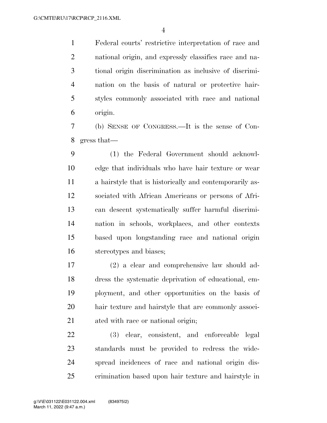Federal courts' restrictive interpretation of race and national origin, and expressly classifies race and na- tional origin discrimination as inclusive of discrimi- nation on the basis of natural or protective hair- styles commonly associated with race and national origin.

 (b) SENSE OF CONGRESS.—It is the sense of Con-gress that—

 (1) the Federal Government should acknowl- edge that individuals who have hair texture or wear a hairstyle that is historically and contemporarily as- sociated with African Americans or persons of Afri- can descent systematically suffer harmful discrimi- nation in schools, workplaces, and other contexts based upon longstanding race and national origin stereotypes and biases;

 (2) a clear and comprehensive law should ad- dress the systematic deprivation of educational, em- ployment, and other opportunities on the basis of hair texture and hairstyle that are commonly associ-ated with race or national origin;

 (3) clear, consistent, and enforceable legal standards must be provided to redress the wide- spread incidences of race and national origin dis-crimination based upon hair texture and hairstyle in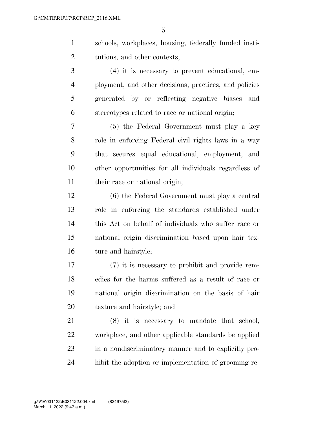schools, workplaces, housing, federally funded insti-tutions, and other contexts;

 (4) it is necessary to prevent educational, em- ployment, and other decisions, practices, and policies generated by or reflecting negative biases and stereotypes related to race or national origin;

 (5) the Federal Government must play a key role in enforcing Federal civil rights laws in a way that secures equal educational, employment, and other opportunities for all individuals regardless of their race or national origin;

 (6) the Federal Government must play a central role in enforcing the standards established under this Act on behalf of individuals who suffer race or national origin discrimination based upon hair tex-ture and hairstyle;

 (7) it is necessary to prohibit and provide rem- edies for the harms suffered as a result of race or national origin discrimination on the basis of hair texture and hairstyle; and

 (8) it is necessary to mandate that school, workplace, and other applicable standards be applied in a nondiscriminatory manner and to explicitly pro-hibit the adoption or implementation of grooming re-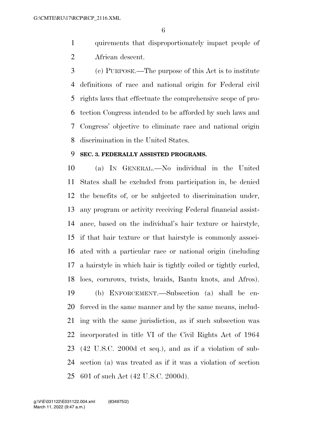- quirements that disproportionately impact people of African descent.
- (c) PURPOSE.—The purpose of this Act is to institute definitions of race and national origin for Federal civil rights laws that effectuate the comprehensive scope of pro- tection Congress intended to be afforded by such laws and Congress' objective to eliminate race and national origin discrimination in the United States.

# **SEC. 3. FEDERALLY ASSISTED PROGRAMS.**

 (a) IN GENERAL.—No individual in the United States shall be excluded from participation in, be denied the benefits of, or be subjected to discrimination under, any program or activity receiving Federal financial assist- ance, based on the individual's hair texture or hairstyle, if that hair texture or that hairstyle is commonly associ- ated with a particular race or national origin (including a hairstyle in which hair is tightly coiled or tightly curled, locs, cornrows, twists, braids, Bantu knots, and Afros). (b) ENFORCEMENT.—Subsection (a) shall be en- forced in the same manner and by the same means, includ- ing with the same jurisdiction, as if such subsection was incorporated in title VI of the Civil Rights Act of 1964 (42 U.S.C. 2000d et seq.), and as if a violation of sub- section (a) was treated as if it was a violation of section 601 of such Act (42 U.S.C. 2000d).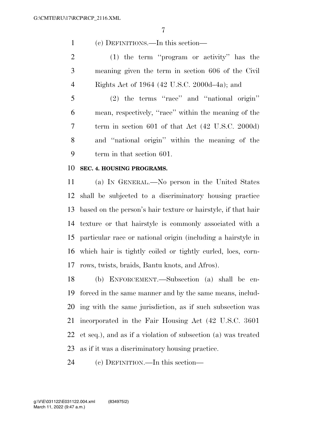(c) DEFINITIONS.—In this section—

 (1) the term ''program or activity'' has the meaning given the term in section 606 of the Civil Rights Act of 1964 (42 U.S.C. 2000d–4a); and

 (2) the terms ''race'' and ''national origin'' mean, respectively, ''race'' within the meaning of the term in section 601 of that Act (42 U.S.C. 2000d) and ''national origin'' within the meaning of the term in that section 601.

#### **SEC. 4. HOUSING PROGRAMS.**

 (a) IN GENERAL.—No person in the United States shall be subjected to a discriminatory housing practice based on the person's hair texture or hairstyle, if that hair texture or that hairstyle is commonly associated with a particular race or national origin (including a hairstyle in which hair is tightly coiled or tightly curled, locs, corn-rows, twists, braids, Bantu knots, and Afros).

 (b) ENFORCEMENT.—Subsection (a) shall be en- forced in the same manner and by the same means, includ- ing with the same jurisdiction, as if such subsection was incorporated in the Fair Housing Act (42 U.S.C. 3601 et seq.), and as if a violation of subsection (a) was treated as if it was a discriminatory housing practice.

(c) DEFINITION.—In this section—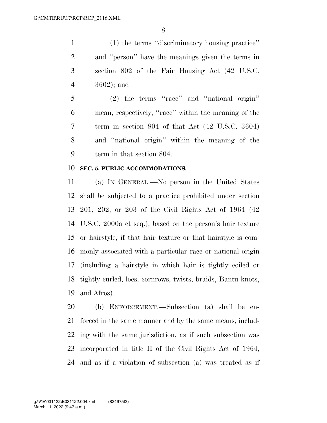(1) the terms ''discriminatory housing practice'' and ''person'' have the meanings given the terms in section 802 of the Fair Housing Act (42 U.S.C. 3602); and

 (2) the terms ''race'' and ''national origin'' mean, respectively, ''race'' within the meaning of the term in section 804 of that Act (42 U.S.C. 3604) and ''national origin'' within the meaning of the term in that section 804.

#### **SEC. 5. PUBLIC ACCOMMODATIONS.**

 (a) IN GENERAL.—No person in the United States shall be subjected to a practice prohibited under section 201, 202, or 203 of the Civil Rights Act of 1964 (42 U.S.C. 2000a et seq.), based on the person's hair texture or hairstyle, if that hair texture or that hairstyle is com- monly associated with a particular race or national origin (including a hairstyle in which hair is tightly coiled or tightly curled, locs, cornrows, twists, braids, Bantu knots, and Afros).

 (b) ENFORCEMENT.—Subsection (a) shall be en- forced in the same manner and by the same means, includ- ing with the same jurisdiction, as if such subsection was incorporated in title II of the Civil Rights Act of 1964, and as if a violation of subsection (a) was treated as if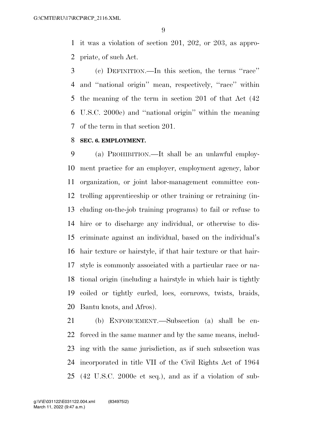it was a violation of section 201, 202, or 203, as appro-priate, of such Act.

 (c) DEFINITION.—In this section, the terms ''race'' and ''national origin'' mean, respectively, ''race'' within the meaning of the term in section 201 of that Act (42 U.S.C. 2000e) and ''national origin'' within the meaning of the term in that section 201.

## **SEC. 6. EMPLOYMENT.**

 (a) PROHIBITION.—It shall be an unlawful employ- ment practice for an employer, employment agency, labor organization, or joint labor-management committee con- trolling apprenticeship or other training or retraining (in- cluding on-the-job training programs) to fail or refuse to hire or to discharge any individual, or otherwise to dis- criminate against an individual, based on the individual's hair texture or hairstyle, if that hair texture or that hair- style is commonly associated with a particular race or na- tional origin (including a hairstyle in which hair is tightly coiled or tightly curled, locs, cornrows, twists, braids, Bantu knots, and Afros).

 (b) ENFORCEMENT.—Subsection (a) shall be en- forced in the same manner and by the same means, includ- ing with the same jurisdiction, as if such subsection was incorporated in title VII of the Civil Rights Act of 1964 (42 U.S.C. 2000e et seq.), and as if a violation of sub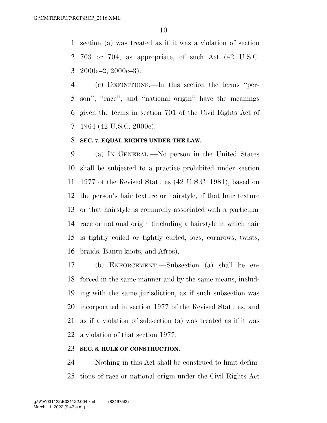section (a) was treated as if it was a violation of section 703 or 704, as appropriate, of such Act (42 U.S.C.  $3\text{ }2000e-2, 2000e-3$ ).

 (c) DEFINITIONS.—In this section the terms ''per- son'', ''race'', and ''national origin'' have the meanings given the terms in section 701 of the Civil Rights Act of 1964 (42 U.S.C. 2000e).

#### **SEC. 7. EQUAL RIGHTS UNDER THE LAW.**

 (a) IN GENERAL.—No person in the United States shall be subjected to a practice prohibited under section 1977 of the Revised Statutes (42 U.S.C. 1981), based on the person's hair texture or hairstyle, if that hair texture or that hairstyle is commonly associated with a particular race or national origin (including a hairstyle in which hair is tightly coiled or tightly curled, locs, cornrows, twists, braids, Bantu knots, and Afros).

 (b) ENFORCEMENT.—Subsection (a) shall be en- forced in the same manner and by the same means, includ- ing with the same jurisdiction, as if such subsection was incorporated in section 1977 of the Revised Statutes, and as if a violation of subsection (a) was treated as if it was a violation of that section 1977.

#### **SEC. 8. RULE OF CONSTRUCTION.**

 Nothing in this Act shall be construed to limit defini-tions of race or national origin under the Civil Rights Act